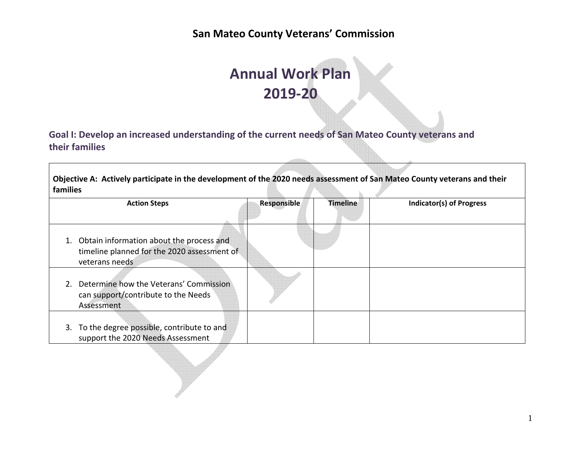# **Annual Work Plan 2019‐20**

**Goal I: Develop an increased understanding of the current needs of San Mateo County veterans and their families**

Objective A: Actively participate in the development of the 2020 needs assessment of San Mateo County veterans and their **families**

| <b>Action Steps</b>                                                                                          | Responsible | <b>Timeline</b> | <b>Indicator(s) of Progress</b> |
|--------------------------------------------------------------------------------------------------------------|-------------|-----------------|---------------------------------|
|                                                                                                              |             |                 |                                 |
| 1. Obtain information about the process and<br>timeline planned for the 2020 assessment of<br>veterans needs |             |                 |                                 |
| Determine how the Veterans' Commission<br>2.<br>can support/contribute to the Needs<br>Assessment            |             |                 |                                 |
| 3. To the degree possible, contribute to and<br>support the 2020 Needs Assessment                            |             |                 |                                 |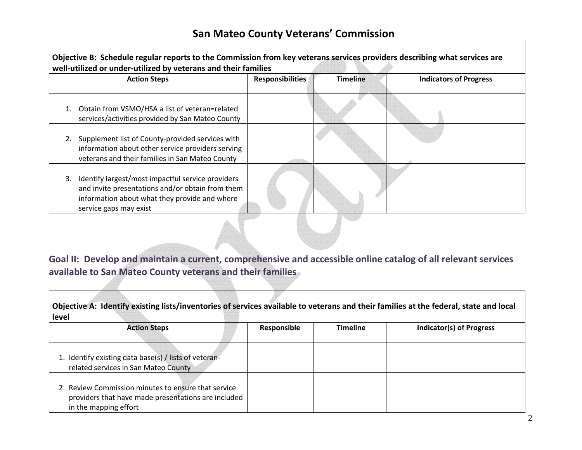| Objective B: Schedule regular reports to the Commission from key veterans services providers describing what services are<br>well-utilized or under-utilized by veterans and their families |                         |                 |                               |  |  |  |
|---------------------------------------------------------------------------------------------------------------------------------------------------------------------------------------------|-------------------------|-----------------|-------------------------------|--|--|--|
| <b>Action Steps</b>                                                                                                                                                                         | <b>Responsibilities</b> | <b>Timeline</b> | <b>Indicators of Progress</b> |  |  |  |
| Obtain from VSMO/HSA a list of veteran=related<br>services/activities provided by San Mateo County                                                                                          |                         |                 |                               |  |  |  |
| Supplement list of County-provided services with<br>information about other service providers serving<br>veterans and their families in San Mateo County                                    |                         |                 |                               |  |  |  |
| Identify largest/most impactful service providers<br>3.<br>and invite presentations and/or obtain from them<br>information about what they provide and where<br>service gaps may exist      |                         |                 |                               |  |  |  |

**Goal II: Develop and maintain <sup>a</sup> current, comprehensive and accessible online catalog of all relevant services available to San Mateo County veterans and their families**

|       |  | Objective A: Identify existing lists/inventories of services available to veterans and their families at the federal, state and local |  |
|-------|--|---------------------------------------------------------------------------------------------------------------------------------------|--|
| level |  |                                                                                                                                       |  |

| <b>Action Steps</b>                                                                                                                 | Responsible | <b>Timeline</b> | <b>Indicator(s) of Progress</b> |
|-------------------------------------------------------------------------------------------------------------------------------------|-------------|-----------------|---------------------------------|
| 1. Identify existing data base(s) / lists of veteran-<br>related services in San Mateo County                                       |             |                 |                                 |
| 2. Review Commission minutes to ensure that service<br>providers that have made presentations are included<br>in the mapping effort |             |                 |                                 |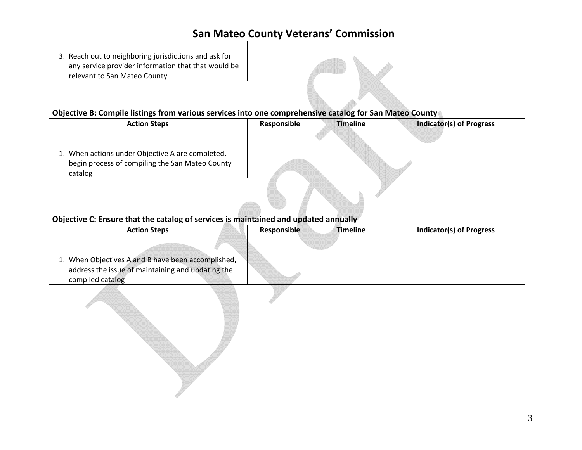| 3. Reach out to neighboring jurisdictions and ask for<br>any service provider information that that would be |  |  |
|--------------------------------------------------------------------------------------------------------------|--|--|
| relevant to San Mateo County                                                                                 |  |  |
|                                                                                                              |  |  |

| <b>Action Steps</b>                                                                                            | Responsible | <b>Timeline</b> | <b>Indicator(s) of Progress</b> |
|----------------------------------------------------------------------------------------------------------------|-------------|-----------------|---------------------------------|
| 1. When actions under Objective A are completed,<br>begin process of compiling the San Mateo County<br>catalog |             |                 |                                 |

| Objective C: Ensure that the catalog of services is maintained and updated annually                                         |             |                 |                                 |  |  |  |
|-----------------------------------------------------------------------------------------------------------------------------|-------------|-----------------|---------------------------------|--|--|--|
| <b>Action Steps</b>                                                                                                         | Responsible | <b>Timeline</b> | <b>Indicator(s) of Progress</b> |  |  |  |
| 1. When Objectives A and B have been accomplished,<br>address the issue of maintaining and updating the<br>compiled catalog |             |                 |                                 |  |  |  |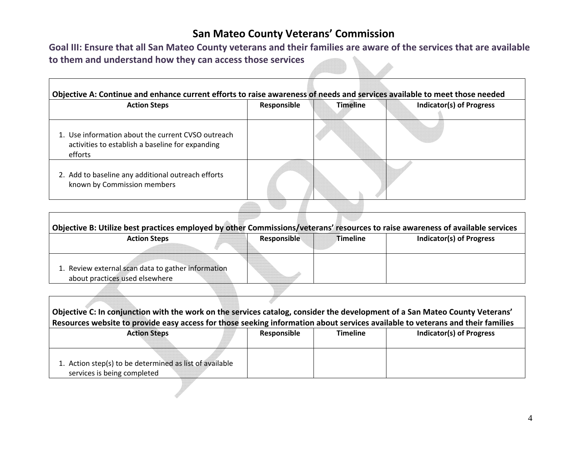Goal III: Ensure that all San Mateo County veterans and their families are aware of the services that are available **to them and understand how they can access those services** 

 $\Gamma$ 

| <b>Action Steps</b>                                                                                               | Responsible | <b>Timeline</b> | <b>Indicator(s) of Progress</b> |
|-------------------------------------------------------------------------------------------------------------------|-------------|-----------------|---------------------------------|
| 1. Use information about the current CVSO outreach<br>activities to establish a baseline for expanding<br>efforts |             |                 |                                 |
| 2. Add to baseline any additional outreach efforts<br>known by Commission members                                 |             |                 |                                 |

| Objective B: Utilize best practices employed by other Commissions/veterans' resources to raise awareness of available services |             |                 |                                 |
|--------------------------------------------------------------------------------------------------------------------------------|-------------|-----------------|---------------------------------|
| <b>Action Steps</b>                                                                                                            | Responsible | <b>Timeline</b> | <b>Indicator(s) of Progress</b> |
|                                                                                                                                |             |                 |                                 |
| 1. Review external scan data to gather information                                                                             |             |                 |                                 |
| about practices used elsewhere                                                                                                 |             |                 |                                 |

| Objective C: In conjunction with the work on the services catalog, consider the development of a San Mateo County Veterans'    |             |                 |                                 |  |  |  |
|--------------------------------------------------------------------------------------------------------------------------------|-------------|-----------------|---------------------------------|--|--|--|
| Resources website to provide easy access for those seeking information about services available to veterans and their families |             |                 |                                 |  |  |  |
| <b>Action Steps</b>                                                                                                            | Responsible | <b>Timeline</b> | <b>Indicator(s) of Progress</b> |  |  |  |
|                                                                                                                                |             |                 |                                 |  |  |  |
|                                                                                                                                |             |                 |                                 |  |  |  |
| 1. Action step(s) to be determined as list of available                                                                        |             |                 |                                 |  |  |  |
| services is being completed                                                                                                    |             |                 |                                 |  |  |  |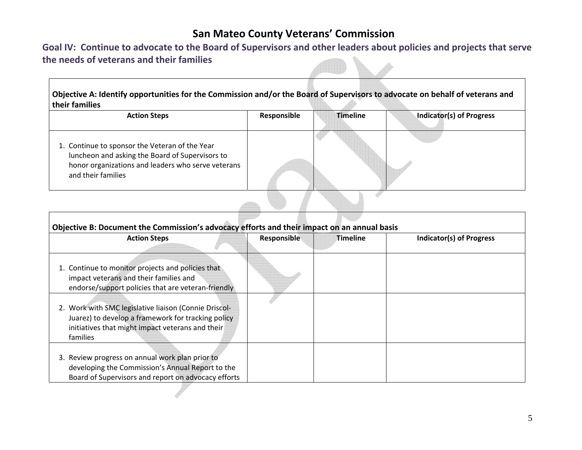Goal IV: Continue to advocate to the Board of Supervisors and other leaders about policies and projects that serve **the needs of veterans and their families**

| Objective A: Identify opportunities for the Commission and/or the Board of Supervisors to advocate on behalf of veterans and<br>their families                                |             |                 |                                 |
|-------------------------------------------------------------------------------------------------------------------------------------------------------------------------------|-------------|-----------------|---------------------------------|
| <b>Action Steps</b>                                                                                                                                                           | Responsible | <b>Timeline</b> | <b>Indicator(s) of Progress</b> |
| 1. Continue to sponsor the Veteran of the Year<br>luncheon and asking the Board of Supervisors to<br>honor organizations and leaders who serve veterans<br>and their families |             |                 |                                 |

| Objective B: Document the Commission's advocacy efforts and their impact on an annual basis                                                                                 |             |          |                          |
|-----------------------------------------------------------------------------------------------------------------------------------------------------------------------------|-------------|----------|--------------------------|
| <b>Action Steps</b>                                                                                                                                                         | Responsible | Timeline | Indicator(s) of Progress |
| 1. Continue to monitor projects and policies that<br>impact veterans and their families and<br>endorse/support policies that are veteran-friendly                           |             |          |                          |
| 2. Work with SMC legislative liaison (Connie Driscol-<br>Juarez) to develop a framework for tracking policy<br>initiatives that might impact veterans and their<br>families |             |          |                          |
| 3. Review progress on annual work plan prior to<br>developing the Commission's Annual Report to the<br>Board of Supervisors and report on advocacy efforts                  |             |          |                          |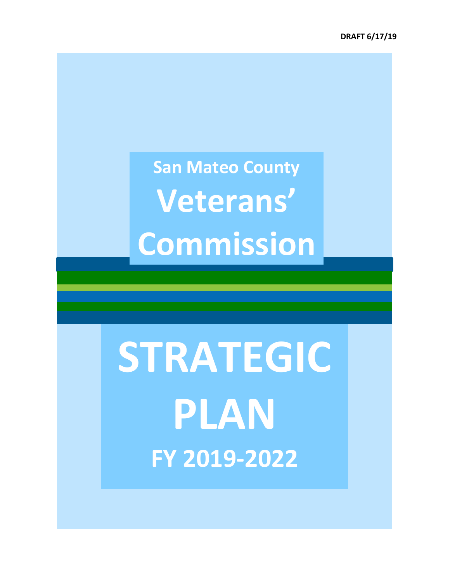# **STRATEGIC PLAN FY 2019‐2022**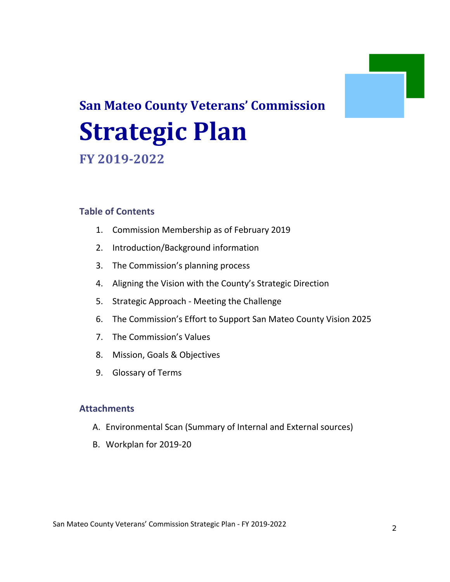# **San Mateo County Veterans' Commission Strategic Plan FY 2019‐2022**

## **Table of Contents**

- 1. Commission Membership as of February 2019
- 2. Introduction/Background information
- 3. The Commission's planning process
- 4. Aligning the Vision with the County's Strategic Direction
- 5. Strategic Approach ‐ Meeting the Challenge
- 6. The Commission's Effort to Support San Mateo County Vision 2025
- 7. The Commission's Values
- 8. Mission, Goals & Objectives
- 9. Glossary of Terms

#### **Attachments**

- A. Environmental Scan (Summary of Internal and External sources)
- B. Workplan for 2019‐20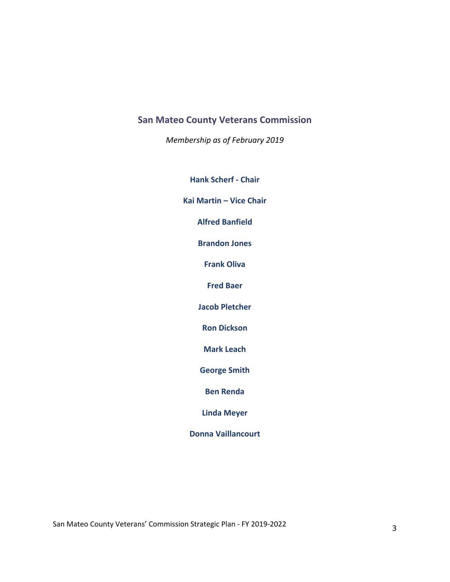*Membership as of February 2019*

**Hank Scherf ‐ Chair**

**Kai Martin – Vice Chair**

**Alfred Banfield**

**Brandon Jones**

**Frank Oliva**

**Fred Baer**

**Jacob Pletcher**

**Ron Dickson**

**Mark Leach**

**George Smith**

**Ben Renda**

**Linda Meyer**

**Donna Vaillancourt**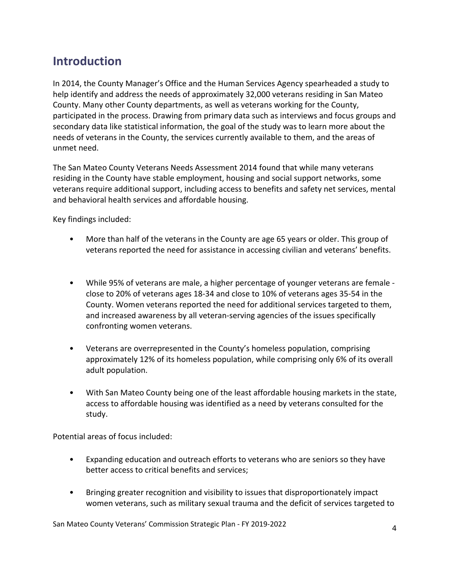# **Introduction**

In 2014, the County Manager's Office and the Human Services Agency spearheaded a study to help identify and address the needs of approximately 32,000 veterans residing in San Mateo County. Many other County departments, as well as veterans working for the County, participated in the process. Drawing from primary data such as interviews and focus groups and secondary data like statistical information, the goal of the study was to learn more about the needs of veterans in the County, the services currently available to them, and the areas of unmet need.

The San Mateo County Veterans Needs Assessment 2014 found that while many veterans residing in the County have stable employment, housing and social support networks, some veterans require additional support, including access to benefits and safety net services, mental and behavioral health services and affordable housing.

Key findings included:

- More than half of the veterans in the County are age 65 years or older. This group of veterans reported the need for assistance in accessing civilian and veterans' benefits.
- While 95% of veterans are male, a higher percentage of younger veterans are female ‐ close to 20% of veterans ages 18‐34 and close to 10% of veterans ages 35‐54 in the County. Women veterans reported the need for additional services targeted to them, and increased awareness by all veteran‐serving agencies of the issues specifically confronting women veterans.
- Veterans are overrepresented in the County's homeless population, comprising approximately 12% of its homeless population, while comprising only 6% of its overall adult population.
- With San Mateo County being one of the least affordable housing markets in the state, access to affordable housing was identified as a need by veterans consulted for the study.

Potential areas of focus included:

- Expanding education and outreach efforts to veterans who are seniors so they have better access to critical benefits and services;
- Bringing greater recognition and visibility to issues that disproportionately impact women veterans, such as military sexual trauma and the deficit of services targeted to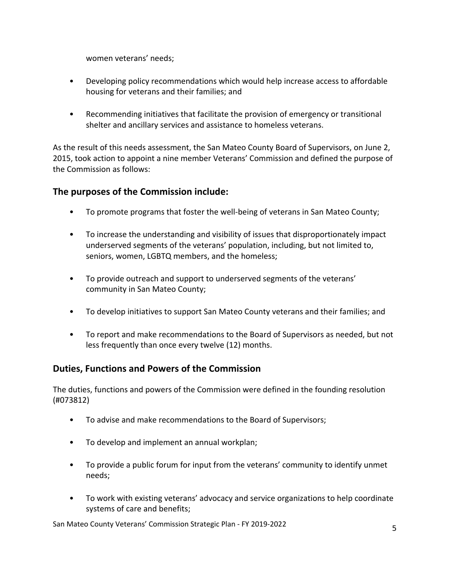women veterans' needs;

- Developing policy recommendations which would help increase access to affordable housing for veterans and their families; and
- Recommending initiatives that facilitate the provision of emergency or transitional shelter and ancillary services and assistance to homeless veterans.

As the result of this needs assessment, the San Mateo County Board of Supervisors, on June 2, 2015, took action to appoint a nine member Veterans' Commission and defined the purpose of the Commission as follows:

#### **The purposes of the Commission include:**

- To promote programs that foster the well-being of veterans in San Mateo County;
- To increase the understanding and visibility of issues that disproportionately impact underserved segments of the veterans' population, including, but not limited to, seniors, women, LGBTQ members, and the homeless;
- To provide outreach and support to underserved segments of the veterans' community in San Mateo County;
- To develop initiatives to support San Mateo County veterans and their families; and
- To report and make recommendations to the Board of Supervisors as needed, but not less frequently than once every twelve (12) months.

#### **Duties, Functions and Powers of the Commission**

The duties, functions and powers of the Commission were defined in the founding resolution (#073812)

- To advise and make recommendations to the Board of Supervisors;
- To develop and implement an annual workplan;
- To provide a public forum for input from the veterans' community to identify unmet needs;
- To work with existing veterans' advocacy and service organizations to help coordinate systems of care and benefits;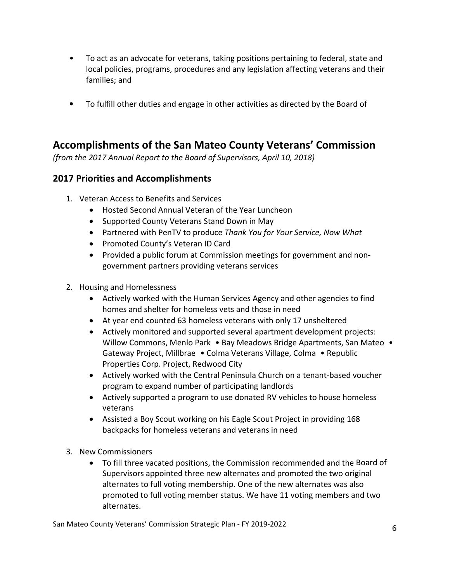- To act as an advocate for veterans, taking positions pertaining to federal, state and local policies, programs, procedures and any legislation affecting veterans and their families; and
- To fulfill other duties and engage in other activities as directed by the Board of

# **Accomplishments of the San Mateo County Veterans' Commission**

*(from the 2017 Annual Report to the Board of Supervisors, April 10, 2018)*

#### **2017 Priorities and Accomplishments**

- 1. Veteran Access to Benefits and Services
	- Hosted Second Annual Veteran of the Year Luncheon
	- Supported County Veterans Stand Down in May
	- Partnered with PenTV to produce *Thank You for Your Service, Now What*
	- Promoted County's Veteran ID Card
	- Provided a public forum at Commission meetings for government and nongovernment partners providing veterans services
- 2. Housing and Homelessness
	- Actively worked with the Human Services Agency and other agencies to find homes and shelter for homeless vets and those in need
	- At year end counted 63 homeless veterans with only 17 unsheltered
	- Actively monitored and supported several apartment development projects: Willow Commons, Menlo Park • Bay Meadows Bridge Apartments, San Mateo • Gateway Project, Millbrae • Colma Veterans Village, Colma • Republic Properties Corp. Project, Redwood City
	- Actively worked with the Central Peninsula Church on a tenant-based voucher program to expand number of participating landlords
	- Actively supported a program to use donated RV vehicles to house homeless veterans
	- Assisted a Boy Scout working on his Eagle Scout Project in providing 168 backpacks for homeless veterans and veterans in need
- 3. New Commissioners
	- To fill three vacated positions, the Commission recommended and the Board of Supervisors appointed three new alternates and promoted the two original alternates to full voting membership. One of the new alternates was also promoted to full voting member status. We have 11 voting members and two alternates.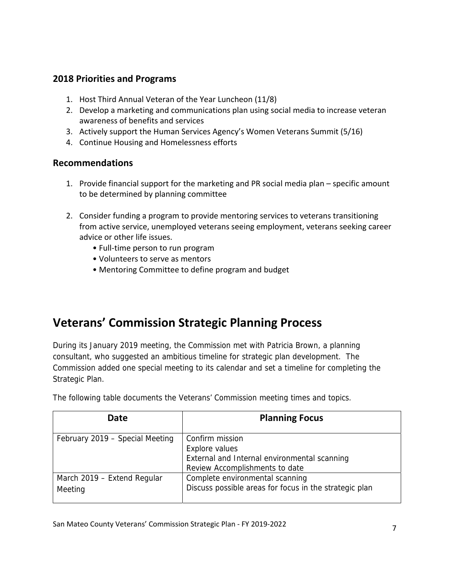#### **2018 Priorities and Programs**

- 1. Host Third Annual Veteran of the Year Luncheon (11/8)
- 2. Develop a marketing and communications plan using social media to increase veteran awareness of benefits and services
- 3. Actively support the Human Services Agency's Women Veterans Summit (5/16)
- 4. Continue Housing and Homelessness efforts

#### **Recommendations**

- 1. Provide financial support for the marketing and PR social media plan specific amount to be determined by planning committee
- 2. Consider funding a program to provide mentoring services to veterans transitioning from active service, unemployed veterans seeing employment, veterans seeking career advice or other life issues.
	- Full-time person to run program
	- Volunteers to serve as mentors
	- Mentoring Committee to define program and budget

# **Veterans' Commission Strategic Planning Process**

During its January 2019 meeting, the Commission met with Patricia Brown, a planning consultant, who suggested an ambitious timeline for strategic plan development. The Commission added one special meeting to its calendar and set a timeline for completing the Strategic Plan.

| Date                                   | <b>Planning Focus</b>                                                                                               |
|----------------------------------------|---------------------------------------------------------------------------------------------------------------------|
| February 2019 – Special Meeting        | Confirm mission<br>Explore values<br>External and Internal environmental scanning<br>Review Accomplishments to date |
| March 2019 - Extend Regular<br>Meeting | Complete environmental scanning<br>Discuss possible areas for focus in the strategic plan                           |

The following table documents the Veterans' Commission meeting times and topics.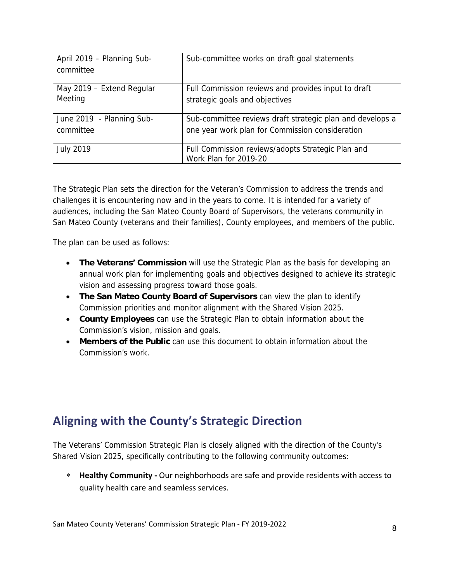| April 2019 - Planning Sub-<br>committee | Sub-committee works on draft goal statements                               |
|-----------------------------------------|----------------------------------------------------------------------------|
| May 2019 - Extend Regular               | Full Commission reviews and provides input to draft                        |
| Meeting                                 | strategic goals and objectives                                             |
| June 2019 - Planning Sub-               | Sub-committee reviews draft strategic plan and develops a                  |
| committee                               | one year work plan for Commission consideration                            |
| <b>July 2019</b>                        | Full Commission reviews/adopts Strategic Plan and<br>Work Plan for 2019-20 |

The Strategic Plan sets the direction for the Veteran's Commission to address the trends and challenges it is encountering now and in the years to come. It is intended for a variety of audiences, including the San Mateo County Board of Supervisors, the veterans community in San Mateo County (veterans and their families), County employees, and members of the public.

The plan can be used as follows:

- **The Veterans' Commission** will use the Strategic Plan as the basis for developing an annual work plan for implementing goals and objectives designed to achieve its strategic vision and assessing progress toward those goals.
- **The San Mateo County Board of Supervisors** can view the plan to identify Commission priorities and monitor alignment with the Shared Vision 2025.
- **County Employees** can use the Strategic Plan to obtain information about the Commission's vision, mission and goals.
- **Members of the Public** can use this document to obtain information about the Commission's work.

# **Aligning with the County's Strategic Direction**

The Veterans' Commission Strategic Plan is closely aligned with the direction of the County's Shared Vision 2025, specifically contributing to the following community outcomes:

 **Healthy Community ‐** Our neighborhoods are safe and provide residents with access to quality health care and seamless services.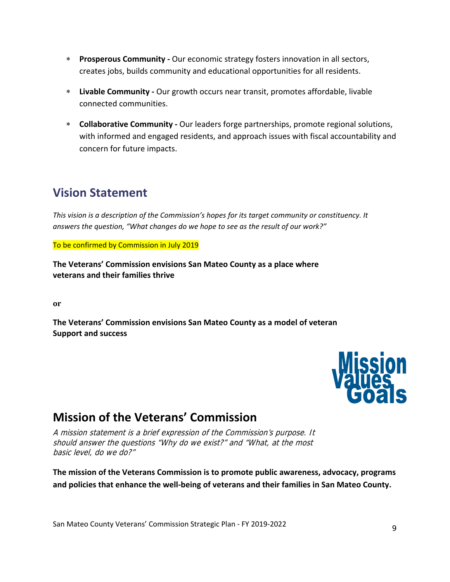- **Prosperous Community ‐** Our economic strategy fosters innovation in all sectors, creates jobs, builds community and educational opportunities for all residents.
- **Livable Community ‐** Our growth occurs near transit, promotes affordable, livable connected communities.
- **Collaborative Community ‐** Our leaders forge partnerships, promote regional solutions, with informed and engaged residents, and approach issues with fiscal accountability and concern for future impacts.

# **Vision Statement**

*This vision is a description of the Commission's hopes for its target community or constituency. It answers the question, "What changes do we hope to see as the result of our work?"*

To be confirmed by Commission in July 2019

**The Veterans' Commission envisions San Mateo County as a place where veterans and their families thrive**

**or**

**The Veterans' Commission envisions San Mateo County as a model of veteran Support and success**



# **Mission of the Veterans' Commission**

A mission statement is a brief expression of the Commission's purpose. It should answer the questions "Why do we exist?" and "What, at the most basic level, do we do?"

**The mission of the Veterans Commission is to promote public awareness, advocacy, programs and policies that enhance the well‐being of veterans and their families in San Mateo County.**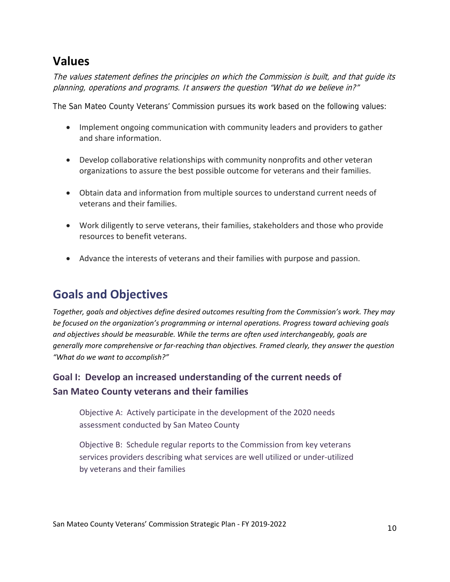# **Values**

The values statement defines the principles on which the Commission is built, and that guide its planning, operations and programs. It answers the question "What do we believe in?"

The San Mateo County Veterans' Commission pursues its work based on the following values:

- Implement ongoing communication with community leaders and providers to gather and share information.
- Develop collaborative relationships with community nonprofits and other veteran organizations to assure the best possible outcome for veterans and their families.
- Obtain data and information from multiple sources to understand current needs of veterans and their families.
- Work diligently to serve veterans, their families, stakeholders and those who provide resources to benefit veterans.
- Advance the interests of veterans and their families with purpose and passion.

# **Goals and Objectives**

*Together, goals and objectives define desired outcomes resulting from the Commission's work. They may be focused on the organization's programming or internal operations. Progress toward achieving goals and objectives should be measurable. While the terms are often used interchangeably, goals are generally more comprehensive or far‐reaching than objectives. Framed clearly, they answer the question "What do we want to accomplish?"*

# **Goal I: Develop an increased understanding of the current needs of San Mateo County veterans and their families**

Objective A: Actively participate in the development of the 2020 needs assessment conducted by San Mateo County

Objective B: Schedule regular reports to the Commission from key veterans services providers describing what services are well utilized or under‐utilized by veterans and their families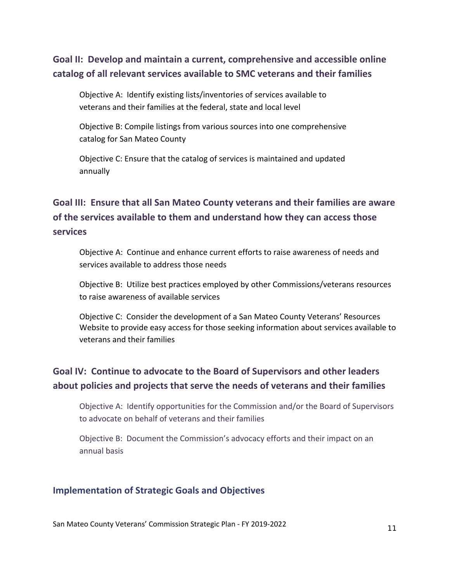# **Goal II: Develop and maintain a current, comprehensive and accessible online catalog of all relevant services available to SMC veterans and their families**

Objective A: Identify existing lists/inventories of services available to veterans and their families at the federal, state and local level

Objective B: Compile listings from various sources into one comprehensive catalog for San Mateo County

Objective C: Ensure that the catalog of services is maintained and updated annually

# **Goal III: Ensure that all San Mateo County veterans and their families are aware of the services available to them and understand how they can access those services**

Objective A: Continue and enhance current efforts to raise awareness of needs and services available to address those needs

Objective B: Utilize best practices employed by other Commissions/veterans resources to raise awareness of available services

Objective C: Consider the development of a San Mateo County Veterans' Resources Website to provide easy access for those seeking information about services available to veterans and their families

# **Goal IV: Continue to advocate to the Board of Supervisors and other leaders about policies and projects that serve the needs of veterans and their families**

Objective A: Identify opportunities for the Commission and/or the Board of Supervisors to advocate on behalf of veterans and their families

Objective B: Document the Commission's advocacy efforts and their impact on an annual basis

#### **Implementation of Strategic Goals and Objectives**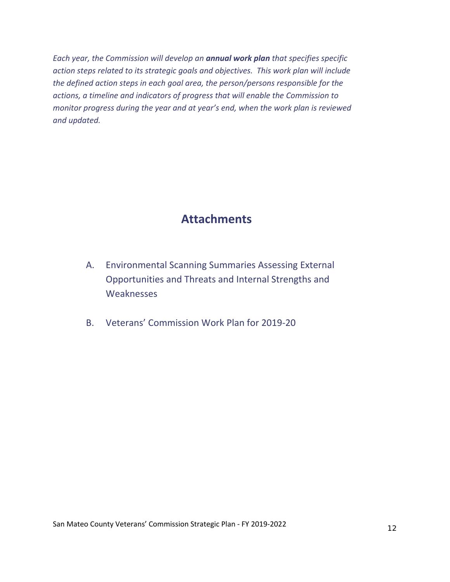*Each year, the Commission will develop an annual work plan that specifies specific action steps related to its strategic goals and objectives. This work plan will include the defined action steps in each goal area, the person/persons responsible for the actions, a timeline and indicators of progress that will enable the Commission to monitor progress during the year and at year's end, when the work plan is reviewed and updated.*

# **Attachments**

- A. Environmental Scanning Summaries Assessing External Opportunities and Threats and Internal Strengths and **Weaknesses**
- B. Veterans' Commission Work Plan for 2019‐20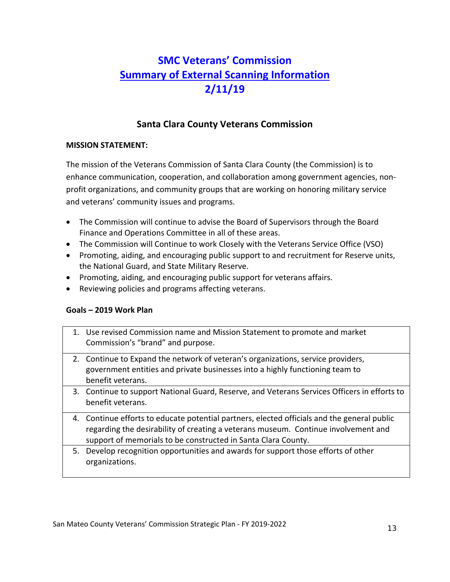# **SMC Veterans' Commission Summary of External Scanning Information 2/11/19**

#### **Santa Clara County Veterans Commission**

#### **MISSION STATEMENT:**

The mission of the Veterans Commission of Santa Clara County (the Commission) is to enhance communication, cooperation, and collaboration among government agencies, non‐ profit organizations, and community groups that are working on honoring military service and veterans' community issues and programs.

- The Commission will continue to advise the Board of Supervisors through the Board Finance and Operations Committee in all of these areas.
- The Commission will Continue to work Closely with the Veterans Service Office (VSO)
- Promoting, aiding, and encouraging public support to and recruitment for Reserve units, the National Guard, and State Military Reserve.
- Promoting, aiding, and encouraging public support for veterans affairs.
- Reviewing policies and programs affecting veterans.

#### **Goals – 2019 Work Plan**

- 1. Use revised Commission name and Mission Statement to promote and market Commission's "brand" and purpose.
- 2. Continue to Expand the network of veteran's organizations, service providers, government entities and private businesses into a highly functioning team to benefit veterans.
- 3. Continue to support National Guard, Reserve, and Veterans Services Officers in efforts to benefit veterans.
- 4. Continue efforts to educate potential partners, elected officials and the general public regarding the desirability of creating a veterans museum. Continue involvement and support of memorials to be constructed in Santa Clara County.
- 5. Develop recognition opportunities and awards for support those efforts of other organizations.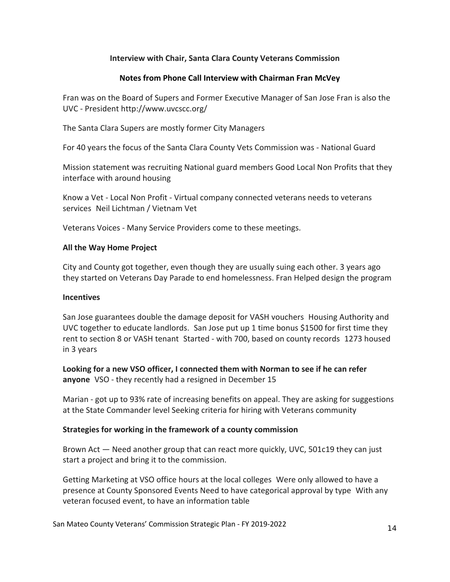#### **Interview with Chair, Santa Clara County Veterans Commission**

#### **Notes from Phone Call Interview with Chairman Fran McVey**

Fran was on the Board of Supers and Former Executive Manager of San Jose Fran is also the UVC ‐ President http://www.uvcscc.org/

The Santa Clara Supers are mostly former City Managers

For 40 years the focus of the Santa Clara County Vets Commission was ‐ National Guard

Mission statement was recruiting National guard members Good Local Non Profits that they interface with around housing

Know a Vet ‐ Local Non Profit ‐ Virtual company connected veterans needs to veterans services Neil Lichtman / Vietnam Vet

Veterans Voices ‐ Many Service Providers come to these meetings.

#### **All the Way Home Project**

City and County got together, even though they are usually suing each other. 3 years ago they started on Veterans Day Parade to end homelessness. Fran Helped design the program

#### **Incentives**

San Jose guarantees double the damage deposit for VASH vouchers Housing Authority and UVC together to educate landlords. San Jose put up 1 time bonus \$1500 for first time they rent to section 8 or VASH tenant Started - with 700, based on county records 1273 housed in 3 years

**Looking for a new VSO officer, I connected them with Norman to see if he can refer** anyone VSO - they recently had a resigned in December 15

Marian ‐ got up to 93% rate of increasing benefits on appeal. They are asking for suggestions at the State Commander level Seeking criteria for hiring with Veterans community

#### **Strategies for working in the framework of a county commission**

Brown Act — Need another group that can react more quickly, UVC, 501c19 they can just start a project and bring it to the commission.

Getting Marketing at VSO office hours at the local colleges Were only allowed to have a presence at County Sponsored Events Need to have categorical approval by type With any veteran focused event, to have an information table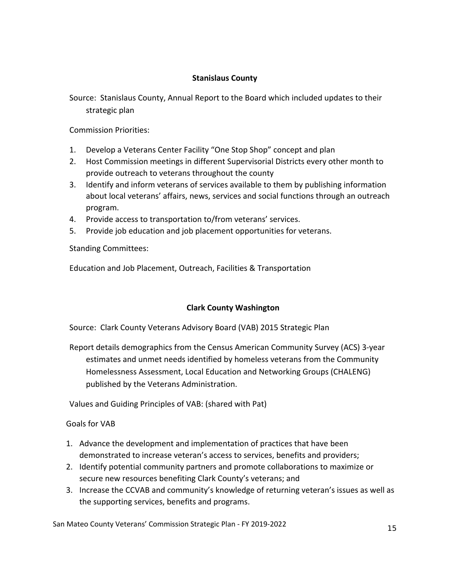#### **Stanislaus County**

Source: Stanislaus County, Annual Report to the Board which included updates to their strategic plan

Commission Priorities:

- 1. Develop a Veterans Center Facility "One Stop Shop" concept and plan
- 2. Host Commission meetings in different Supervisorial Districts every other month to provide outreach to veterans throughout the county
- 3. Identify and inform veterans of services available to them by publishing information about local veterans' affairs, news, services and social functions through an outreach program.
- 4. Provide access to transportation to/from veterans' services.
- 5. Provide job education and job placement opportunities for veterans.

Standing Committees:

Education and Job Placement, Outreach, Facilities & Transportation

#### **Clark County Washington**

Source: Clark County Veterans Advisory Board (VAB) 2015 Strategic Plan

Report details demographics from the Census American Community Survey (ACS) 3‐year estimates and unmet needs identified by homeless veterans from the Community Homelessness Assessment, Local Education and Networking Groups (CHALENG) published by the Veterans Administration.

Values and Guiding Principles of VAB: (shared with Pat)

Goals for VAB

- 1. Advance the development and implementation of practices that have been demonstrated to increase veteran's access to services, benefits and providers;
- 2. Identify potential community partners and promote collaborations to maximize or secure new resources benefiting Clark County's veterans; and
- 3. Increase the CCVAB and community's knowledge of returning veteran's issues as well as the supporting services, benefits and programs.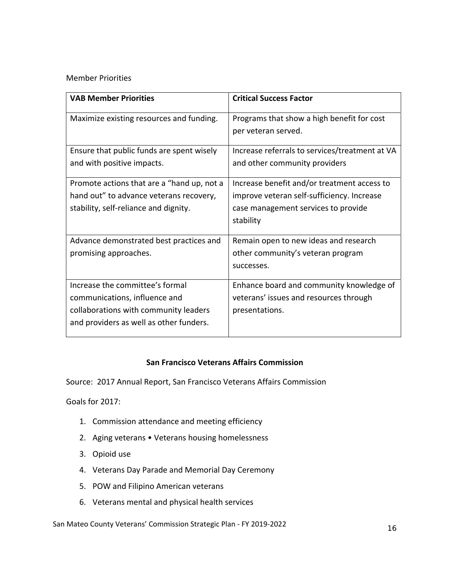#### Member Priorities

| <b>VAB Member Priorities</b>               | <b>Critical Success Factor</b>                 |
|--------------------------------------------|------------------------------------------------|
| Maximize existing resources and funding.   | Programs that show a high benefit for cost     |
|                                            | per veteran served.                            |
| Ensure that public funds are spent wisely  | Increase referrals to services/treatment at VA |
| and with positive impacts.                 | and other community providers                  |
| Promote actions that are a "hand up, not a | Increase benefit and/or treatment access to    |
| hand out" to advance veterans recovery,    | improve veteran self-sufficiency. Increase     |
| stability, self-reliance and dignity.      | case management services to provide            |
|                                            | stability                                      |
| Advance demonstrated best practices and    | Remain open to new ideas and research          |
| promising approaches.                      | other community's veteran program              |
|                                            | successes.                                     |
| Increase the committee's formal            | Enhance board and community knowledge of       |
| communications, influence and              | veterans' issues and resources through         |
| collaborations with community leaders      | presentations.                                 |
| and providers as well as other funders.    |                                                |

#### **San Francisco Veterans Affairs Commission**

Source: 2017 Annual Report, San Francisco Veterans Affairs Commission

Goals for 2017:

- 1. Commission attendance and meeting efficiency
- 2. Aging veterans Veterans housing homelessness
- 3. Opioid use
- 4. Veterans Day Parade and Memorial Day Ceremony
- 5. POW and Filipino American veterans
- 6. Veterans mental and physical health services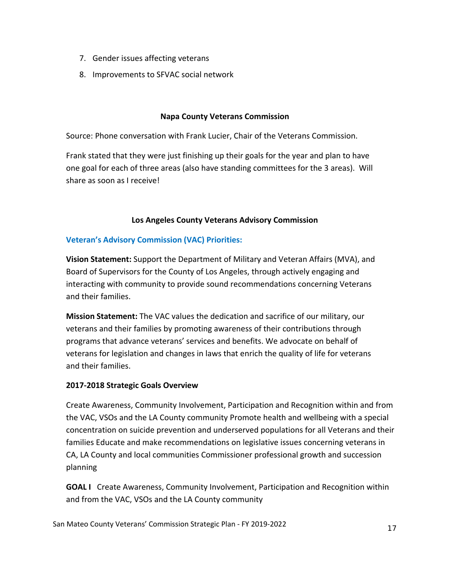- 7. Gender issues affecting veterans
- 8. Improvements to SFVAC social network

#### **Napa County Veterans Commission**

Source: Phone conversation with Frank Lucier, Chair of the Veterans Commission.

Frank stated that they were just finishing up their goals for the year and plan to have one goal for each of three areas (also have standing committees for the 3 areas). Will share as soon as I receive!

#### **Los Angeles County Veterans Advisory Commission**

#### **Veteran's Advisory Commission (VAC) Priorities:**

**Vision Statement:** Support the Department of Military and Veteran Affairs (MVA), and Board of Supervisors for the County of Los Angeles, through actively engaging and interacting with community to provide sound recommendations concerning Veterans and their families.

**Mission Statement:** The VAC values the dedication and sacrifice of our military, our veterans and their families by promoting awareness of their contributions through programs that advance veterans' services and benefits. We advocate on behalf of veterans for legislation and changes in laws that enrich the quality of life for veterans and their families.

#### **2017‐2018 Strategic Goals Overview**

Create Awareness, Community Involvement, Participation and Recognition within and from the VAC, VSOs and the LA County community Promote health and wellbeing with a special concentration on suicide prevention and underserved populations for all Veterans and their families Educate and make recommendations on legislative issues concerning veterans in CA, LA County and local communities Commissioner professional growth and succession planning

**GOAL I** Create Awareness, Community Involvement, Participation and Recognition within and from the VAC, VSOs and the LA County community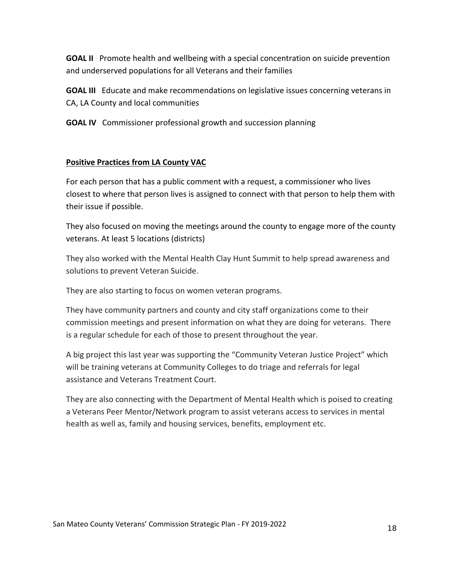**GOAL II** Promote health and wellbeing with a special concentration on suicide prevention and underserved populations for all Veterans and their families

**GOAL III** Educate and make recommendations on legislative issues concerning veterans in CA, LA County and local communities

**GOAL IV** Commissioner professional growth and succession planning

#### **Positive Practices from LA County VAC**

For each person that has a public comment with a request, a commissioner who lives closest to where that person lives is assigned to connect with that person to help them with their issue if possible.

They also focused on moving the meetings around the county to engage more of the county veterans. At least 5 locations (districts)

They also worked with the Mental Health Clay Hunt Summit to help spread awareness and solutions to prevent Veteran Suicide.

They are also starting to focus on women veteran programs.

They have community partners and county and city staff organizations come to their commission meetings and present information on what they are doing for veterans. There is a regular schedule for each of those to present throughout the year.

A big project this last year was supporting the "Community Veteran Justice Project" which will be training veterans at Community Colleges to do triage and referrals for legal assistance and Veterans Treatment Court.

They are also connecting with the Department of Mental Health which is poised to creating a Veterans Peer Mentor/Network program to assist veterans access to services in mental health as well as, family and housing services, benefits, employment etc.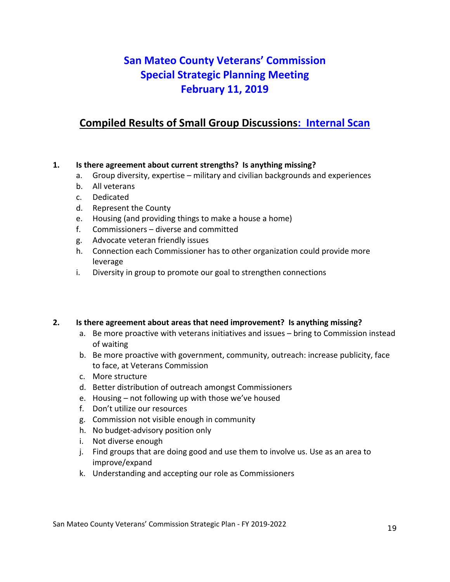# **San Mateo County Veterans' Commission Special Strategic Planning Meeting February 11, 2019**

# **Compiled Results of Small Group Discussions: Internal Scan**

#### **1. Is there agreement about current strengths? Is anything missing?**

- a. Group diversity, expertise military and civilian backgrounds and experiences
- b. All veterans
- c. Dedicated
- d. Represent the County
- e. Housing (and providing things to make a house a home)
- f. Commissioners diverse and committed
- g. Advocate veteran friendly issues
- h. Connection each Commissioner has to other organization could provide more leverage
- i. Diversity in group to promote our goal to strengthen connections

#### **2. Is there agreement about areas that need improvement? Is anything missing?**

- a. Be more proactive with veterans initiatives and issues bring to Commission instead of waiting
- b. Be more proactive with government, community, outreach: increase publicity, face to face, at Veterans Commission
- c. More structure
- d. Better distribution of outreach amongst Commissioners
- e. Housing not following up with those we've housed
- f. Don't utilize our resources
- g. Commission not visible enough in community
- h. No budget‐advisory position only
- i. Not diverse enough
- j. Find groups that are doing good and use them to involve us. Use as an area to improve/expand
- k. Understanding and accepting our role as Commissioners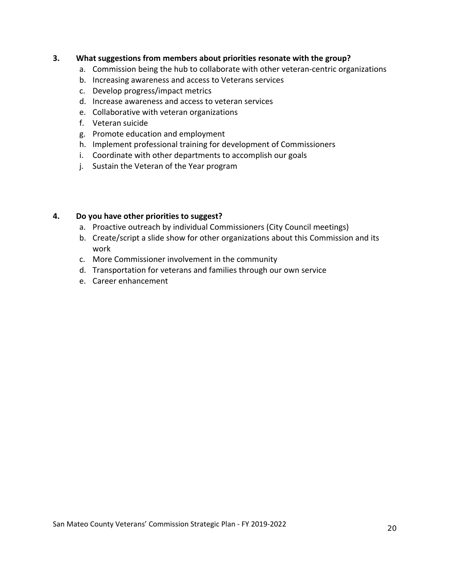#### **3. What suggestions from members about priorities resonate with the group?**

- a. Commission being the hub to collaborate with other veteran‐centric organizations
- b. Increasing awareness and access to Veterans services
- c. Develop progress/impact metrics
- d. Increase awareness and access to veteran services
- e. Collaborative with veteran organizations
- f. Veteran suicide
- g. Promote education and employment
- h. Implement professional training for development of Commissioners
- i. Coordinate with other departments to accomplish our goals
- j. Sustain the Veteran of the Year program

#### **4. Do you have other priorities to suggest?**

- a. Proactive outreach by individual Commissioners (City Council meetings)
- b. Create/script a slide show for other organizations about this Commission and its work
- c. More Commissioner involvement in the community
- d. Transportation for veterans and families through our own service
- e. Career enhancement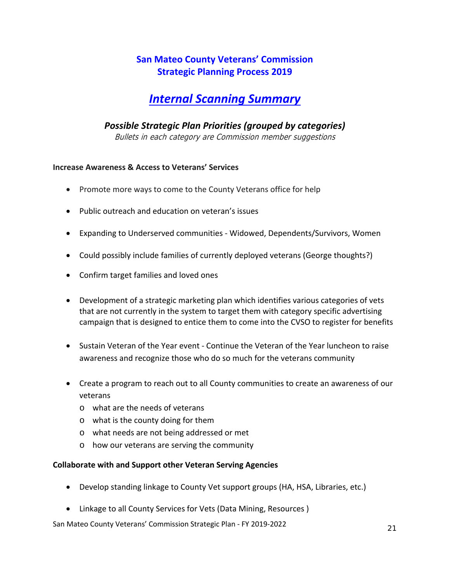## **San Mateo County Veterans' Commission Strategic Planning Process 2019**

# *Internal Scanning Summary*

#### *Possible Strategic Plan Priorities (grouped by categories)*

Bullets in each category are Commission member suggestions

#### **Increase Awareness & Access to Veterans' Services**

- Promote more ways to come to the County Veterans office for help
- Public outreach and education on veteran's issues
- Expanding to Underserved communities ‐ Widowed, Dependents/Survivors, Women
- Could possibly include families of currently deployed veterans (George thoughts?)
- Confirm target families and loved ones
- Development of a strategic marketing plan which identifies various categories of vets that are not currently in the system to target them with category specific advertising campaign that is designed to entice them to come into the CVSO to register for benefits
- Sustain Veteran of the Year event ‐ Continue the Veteran of the Year luncheon to raise awareness and recognize those who do so much for the veterans community
- Create a program to reach out to all County communities to create an awareness of our veterans
	- o what are the needs of veterans
	- o what is the county doing for them
	- o what needs are not being addressed or met
	- o how our veterans are serving the community

#### **Collaborate with and Support other Veteran Serving Agencies**

- Develop standing linkage to County Vet support groups (HA, HSA, Libraries, etc.)
- Linkage to all County Services for Vets (Data Mining, Resources)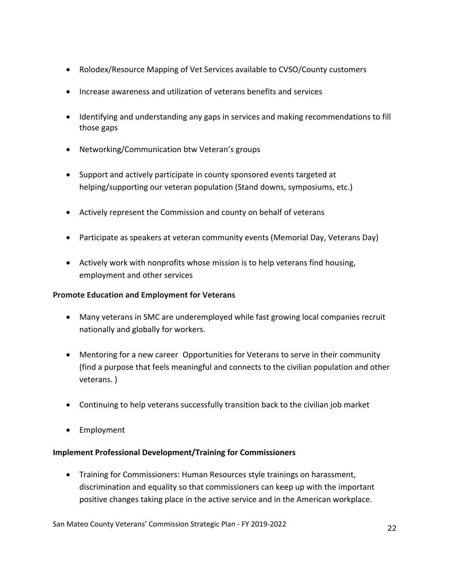- Rolodex/Resource Mapping of Vet Services available to CVSO/County customers
- Increase awareness and utilization of veterans benefits and services
- Identifying and understanding any gaps in services and making recommendations to fill those gaps
- Networking/Communication btw Veteran's groups
- Support and actively participate in county sponsored events targeted at helping/supporting our veteran population (Stand downs, symposiums, etc.)
- Actively represent the Commission and county on behalf of veterans
- Participate as speakers at veteran community events (Memorial Day, Veterans Day)
- Actively work with nonprofits whose mission is to help veterans find housing, employment and other services

#### **Promote Education and Employment for Veterans**

- Many veterans in SMC are underemployed while fast growing local companies recruit nationally and globally for workers.
- Mentoring for a new career Opportunities for Veterans to serve in their community (find a purpose that feels meaningful and connects to the civilian population and other veterans. )
- Continuing to help veterans successfully transition back to the civilian job market
- Employment

#### **Implement Professional Development/Training for Commissioners**

 Training for Commissioners: Human Resources style trainings on harassment, discrimination and equality so that commissioners can keep up with the important positive changes taking place in the active service and in the American workplace.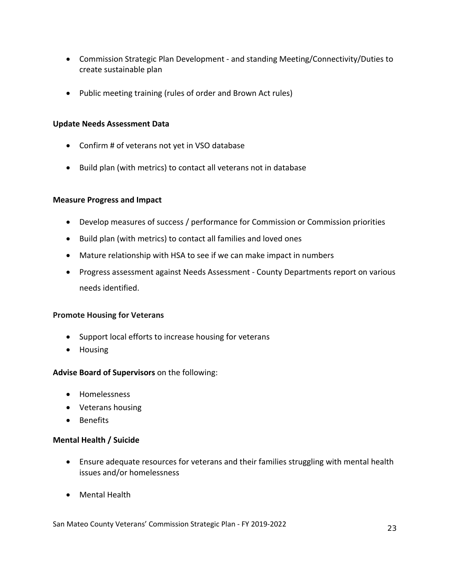- Commission Strategic Plan Development and standing Meeting/Connectivity/Duties to create sustainable plan
- Public meeting training (rules of order and Brown Act rules)

#### **Update Needs Assessment Data**

- Confirm # of veterans not yet in VSO database
- Build plan (with metrics) to contact all veterans not in database

#### **Measure Progress and Impact**

- Develop measures of success / performance for Commission or Commission priorities
- Build plan (with metrics) to contact all families and loved ones
- Mature relationship with HSA to see if we can make impact in numbers
- Progress assessment against Needs Assessment County Departments report on various needs identified.

#### **Promote Housing for Veterans**

- Support local efforts to increase housing for veterans
- Housing

#### **Advise Board of Supervisors** on the following:

- Homelessness
- Veterans housing
- Benefits

#### **Mental Health / Suicide**

- Ensure adequate resources for veterans and their families struggling with mental health issues and/or homelessness
- Mental Health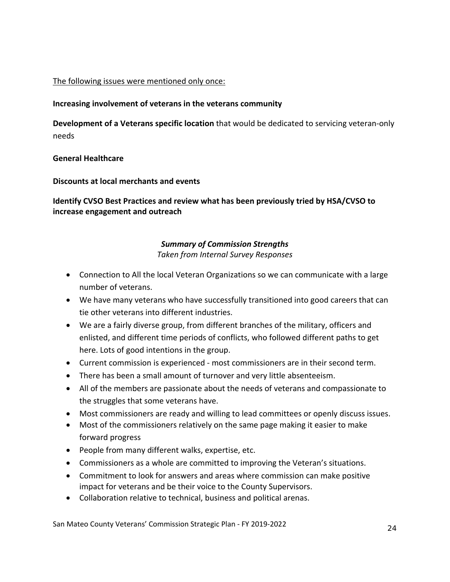#### The following issues were mentioned only once:

#### **Increasing involvement of veterans in the veterans community**

**Development of a Veterans specific location** that would be dedicated to servicing veteran‐only needs

#### **General Healthcare**

**Discounts at local merchants and events**

**Identify CVSO Best Practices and review what has been previously tried by HSA/CVSO to increase engagement and outreach**

#### *Summary of Commission Strengths*

*Taken from Internal Survey Responses* 

- Connection to All the local Veteran Organizations so we can communicate with a large number of veterans.
- We have many veterans who have successfully transitioned into good careers that can tie other veterans into different industries.
- We are a fairly diverse group, from different branches of the military, officers and enlisted, and different time periods of conflicts, who followed different paths to get here. Lots of good intentions in the group.
- Current commission is experienced ‐ most commissioners are in their second term.
- There has been a small amount of turnover and very little absenteeism.
- All of the members are passionate about the needs of veterans and compassionate to the struggles that some veterans have.
- Most commissioners are ready and willing to lead committees or openly discuss issues.
- Most of the commissioners relatively on the same page making it easier to make forward progress
- People from many different walks, expertise, etc.
- Commissioners as a whole are committed to improving the Veteran's situations.
- Commitment to look for answers and areas where commission can make positive impact for veterans and be their voice to the County Supervisors.
- Collaboration relative to technical, business and political arenas.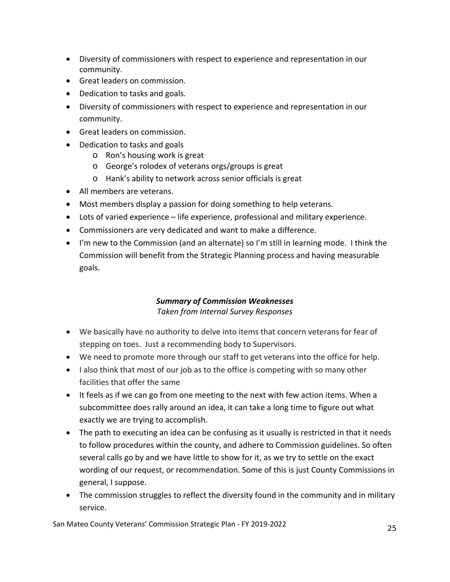- Diversity of commissioners with respect to experience and representation in our community.
- Great leaders on commission.
- Dedication to tasks and goals.
- Diversity of commissioners with respect to experience and representation in our community.
- Great leaders on commission.
- Dedication to tasks and goals
	- o Ron's housing work is great
	- o George's rolodex of veterans orgs/groups is great
	- o Hank's ability to network across senior officials is great
- All members are veterans.
- Most members display a passion for doing something to help veterans.
- Lots of varied experience life experience, professional and military experience.
- Commissioners are very dedicated and want to make a difference.
- I'm new to the Commission (and an alternate) so I'm still in learning mode. I think the Commission will benefit from the Strategic Planning process and having measurable goals.

#### *Summary of Commission Weaknesses Taken from Internal Survey Responses*

- We basically have no authority to delve into items that concern veterans for fear of stepping on toes. Just a recommending body to Supervisors.
- We need to promote more through our staff to get veterans into the office for help.
- I also think that most of our job as to the office is competing with so many other facilities that offer the same
- It feels as if we can go from one meeting to the next with few action items. When a subcommittee does rally around an idea, it can take a long time to figure out what exactly we are trying to accomplish.
- The path to executing an idea can be confusing as it usually is restricted in that it needs to follow procedures within the county, and adhere to Commission guidelines. So often several calls go by and we have little to show for it, as we try to settle on the exact wording of our request, or recommendation. Some of this is just County Commissions in general, I suppose.
- The commission struggles to reflect the diversity found in the community and in military service.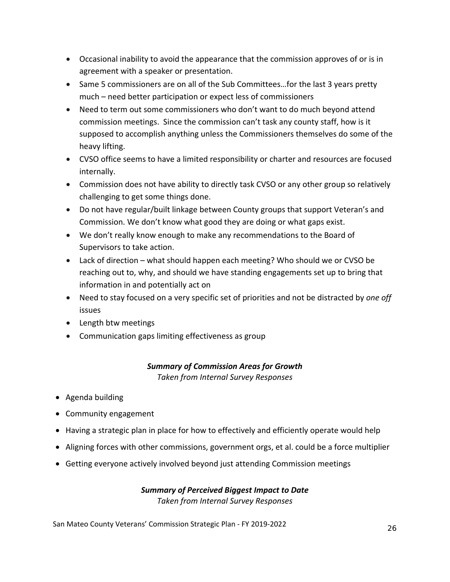- Occasional inability to avoid the appearance that the commission approves of or is in agreement with a speaker or presentation.
- Same 5 commissioners are on all of the Sub Committees...for the last 3 years pretty much – need better participation or expect less of commissioners
- Need to term out some commissioners who don't want to do much beyond attend commission meetings. Since the commission can't task any county staff, how is it supposed to accomplish anything unless the Commissioners themselves do some of the heavy lifting.
- CVSO office seems to have a limited responsibility or charter and resources are focused internally.
- Commission does not have ability to directly task CVSO or any other group so relatively challenging to get some things done.
- Do not have regular/built linkage between County groups that support Veteran's and Commission. We don't know what good they are doing or what gaps exist.
- We don't really know enough to make any recommendations to the Board of Supervisors to take action.
- Lack of direction what should happen each meeting? Who should we or CVSO be reaching out to, why, and should we have standing engagements set up to bring that information in and potentially act on
- Need to stay focused on a very specific set of priorities and not be distracted by *one off* issues
- Length btw meetings
- Communication gaps limiting effectiveness as group

#### *Summary of Commission Areas for Growth Taken from Internal Survey Responses*

- Agenda building
- Community engagement
- Having a strategic plan in place for how to effectively and efficiently operate would help
- Aligning forces with other commissions, government orgs, et al. could be a force multiplier
- Getting everyone actively involved beyond just attending Commission meetings

# *Summary of Perceived Biggest Impact to Date*

*Taken from Internal Survey Responses*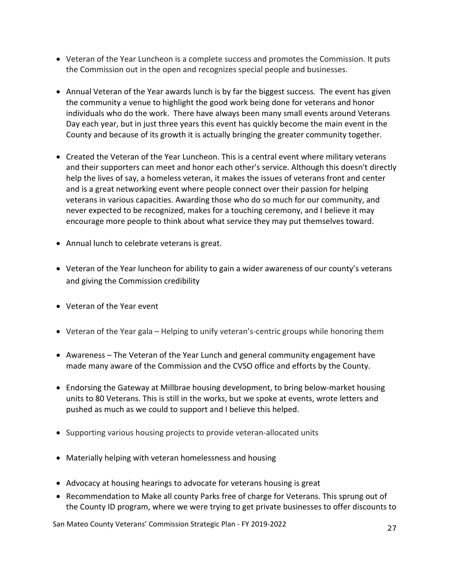- Veteran of the Year Luncheon is a complete success and promotes the Commission. It puts the Commission out in the open and recognizes special people and businesses.
- Annual Veteran of the Year awards lunch is by far the biggest success. The event has given the community a venue to highlight the good work being done for veterans and honor individuals who do the work. There have always been many small events around Veterans Day each year, but in just three years this event has quickly become the main event in the County and because of its growth it is actually bringing the greater community together.
- Created the Veteran of the Year Luncheon. This is a central event where military veterans and their supporters can meet and honor each other's service. Although this doesn't directly help the lives of say, a homeless veteran, it makes the issues of veterans front and center and is a great networking event where people connect over their passion for helping veterans in various capacities. Awarding those who do so much for our community, and never expected to be recognized, makes for a touching ceremony, and I believe it may encourage more people to think about what service they may put themselves toward.
- Annual lunch to celebrate veterans is great.
- Veteran of the Year luncheon for ability to gain a wider awareness of our county's veterans and giving the Commission credibility
- Veteran of the Year event
- Veteran of the Year gala Helping to unify veteran's-centric groups while honoring them
- Awareness The Veteran of the Year Lunch and general community engagement have made many aware of the Commission and the CVSO office and efforts by the County.
- Endorsing the Gateway at Millbrae housing development, to bring below-market housing units to 80 Veterans. This is still in the works, but we spoke at events, wrote letters and pushed as much as we could to support and I believe this helped.
- Supporting various housing projects to provide veteran-allocated units
- Materially helping with veteran homelessness and housing
- Advocacy at housing hearings to advocate for veterans housing is great
- Recommendation to Make all county Parks free of charge for Veterans. This sprung out of the County ID program, where we were trying to get private businesses to offer discounts to